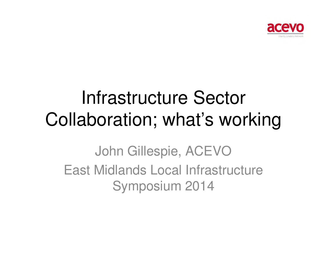

#### Infrastructure Sector Collaboration; what's working

John Gillespie, ACEVO East Midlands Local Infrastructure Symposium 2014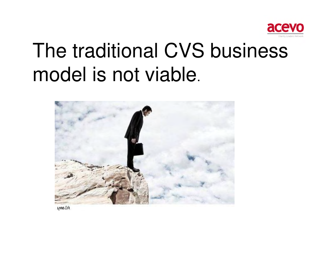

# The traditional CVS business model is not viable.



Alamy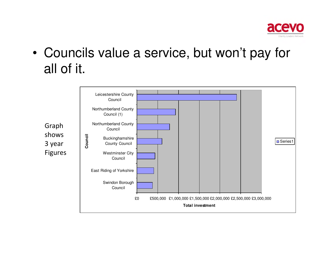

• Councils value a service, but won't pay for all of it.

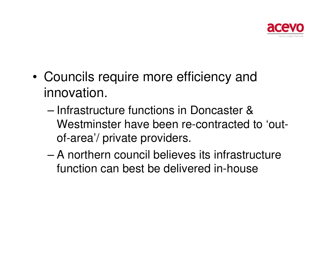

- • Councils require more efficiency and innovation.
	- – Infrastructure functions in Doncaster & Westminster have been re-contracted to 'outof-area'/ private providers.
	- – A northern council believes its infrastructure function can best be delivered in-house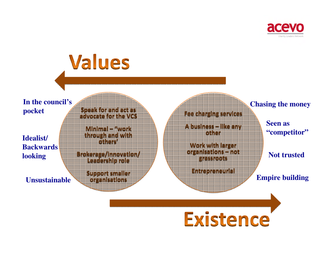

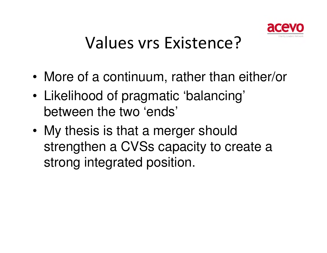

#### Values vrs Existence?

- •More of a continuum, rather than either/or
- • Likelihood of pragmatic 'balancing' between the two 'ends'
- • My thesis is that a merger should strengthen a CVSs capacity to create a strong integrated position.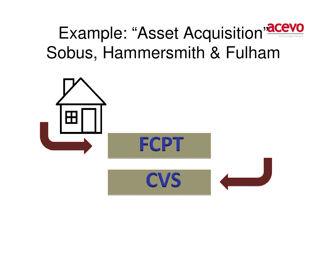

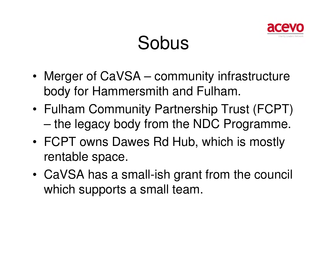

#### Sobus

- • Merger of CaVSA – community infrastructure body for Hammersmith and Fulham.
- • Fulham Community Partnership Trust (FCPT) –the legacy body from the NDC Programme.
- • FCPT owns Dawes Rd Hub, which is mostly rentable space.
- • CaVSA has a small-ish grant from the council which supports a small team.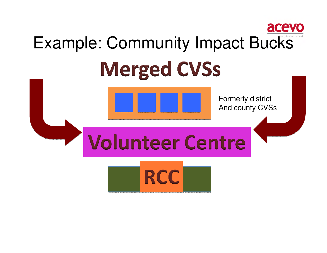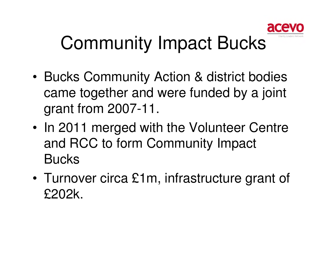

### Community Impact Bucks

- • Bucks Community Action & district bodies came together and were funded by a joint grant from 2007-11.
- • In 2011 merged with the Volunteer Centre and RCC to form Community Impact **Bucks**
- • Turnover circa £1m, infrastructure grant of £202k.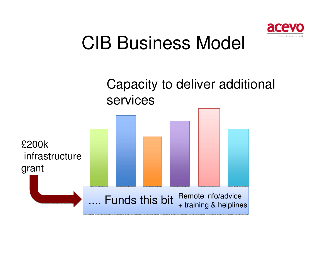

### CIB Business Model

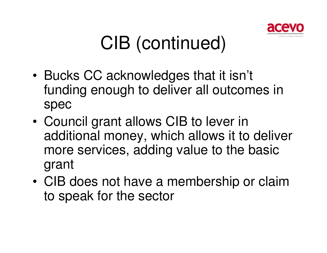

## CIB (continued)

- • Bucks CC acknowledges that it isn't funding enough to deliver all outcomes in spec
- • Council grant allows CIB to lever in additional money, which allows it to deliver more services, adding value to the basic grant
- • CIB does not have a membership or claim to speak for the sector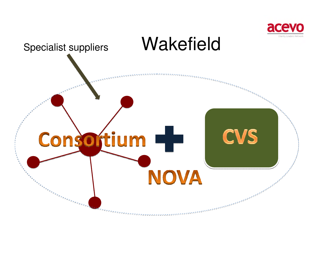

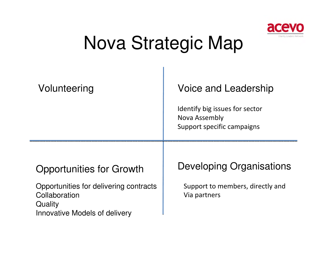

### Nova Strategic Map

| Volunteering                                                                                                                                  | Voice and Leadership<br>Identify big issues for sector<br>Nova Assembly<br>Support specific campaigns |
|-----------------------------------------------------------------------------------------------------------------------------------------------|-------------------------------------------------------------------------------------------------------|
| <b>Opportunities for Growth</b><br>Opportunities for delivering contracts<br>Collaboration<br>Quality<br><b>Innovative Models of delivery</b> | Developing Organisations<br>Support to members, directly and<br>Via partners                          |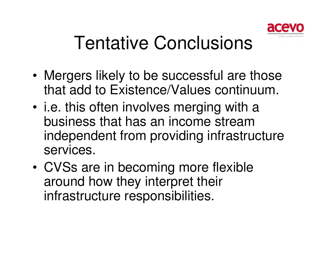

### Tentative Conclusions

- • Mergers likely to be successful are those that add to Existence/Values continuum.
- • i.e. this often involves merging with a business that has an income stream independent from providing infrastructure services.
- • CVSs are in becoming more flexible around how they interpret their infrastructure responsibilities.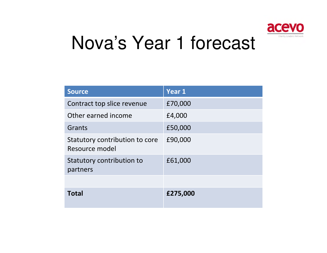

#### Nova's Year 1 forecast

| <b>Source</b>                                    | Year 1   |
|--------------------------------------------------|----------|
| Contract top slice revenue                       | £70,000  |
| Other earned income                              | £4,000   |
| Grants                                           | £50,000  |
| Statutory contribution to core<br>Resource model | £90,000  |
| <b>Statutory contribution to</b><br>partners     | £61,000  |
|                                                  |          |
| <b>Total</b>                                     | £275,000 |